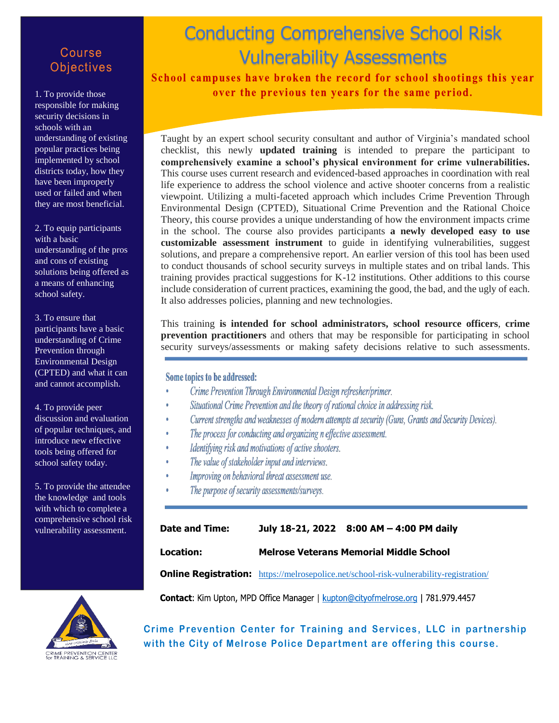## Course **Objectives**

1. To provide those responsible for making security decisions in schools with an understanding of existing popular practices being implemented by school districts today, how they have been improperly used or failed and when they are most beneficial.

2. To equip participants with a basic understanding of the pros and cons of existing solutions being offered as a means of enhancing school safety.

3. To ensure that participants have a basic understanding of Crime Prevention through Environmental Design (CPTED) and what it can and cannot accomplish.

4. To provide peer discussion and evaluation of popular techniques, and introduce new effective tools being offered for school safety today.

5. To provide the attendee the knowledge and tools with which to complete a comprehensive school risk vulnerability assessment.

## **Conducting Comprendition Conduction** Conducting Comprehensive School Risk Vulnerability Assessments

School campuses have broken the record for school shootings this year over the previous ten years for the same period.

Taught by an expert school security consultant and author of Virginia's mandated school checklist, this newly **updated training** is intended to prepare the participant to **comprehensively examine a school's physical environment for crime vulnerabilities.** This course uses current research and evidenced-based approaches in coordination with real life experience to address the school violence and active shooter concerns from a realistic viewpoint. Utilizing a multi-faceted approach which includes Crime Prevention Through Environmental Design (CPTED), Situational Crime Prevention and the Rational Choice Theory, this course provides a unique understanding of how the environment impacts crime in the school. The course also provides participants **a newly developed easy to use customizable assessment instrument** to guide in identifying vulnerabilities, suggest solutions, and prepare a comprehensive report. An earlier version of this tool has been used to conduct thousands of school security surveys in multiple states and on tribal lands. This training provides practical suggestions for K-12 institutions. Other additions to this course include consideration of current practices, examining the good, the bad, and the ugly of each. It also addresses policies, planning and new technologies.

This training **is intended for school administrators, school resource officers**, **crime prevention practitioners** and others that may be responsible for participating in school security surveys/assessments or making safety decisions relative to such assessments.

Some topics to be addressed:

- Crime Prevention Through Environmental Design refresher/primer.
- Situational Crime Prevention and the theory of rational choice in addressing risk.
- Current strengths and weaknesses of modern attempts at security (Guns, Grants and Security Devices).
- The process for conducting and organizing n effective assessment.
- Identifying risk and motivations of active shooters.  $\ddot{\phantom{a}}$
- The value of stakeholder input and interviews.
- Improving on behavioral threat assessment use.
- The purpose of security assessments/surveys.

| Date and Time: |                                                | July 18-21, 2022 8:00 AM - 4:00 PM daily |
|----------------|------------------------------------------------|------------------------------------------|
| Location:      | <b>Melrose Veterans Memorial Middle School</b> |                                          |

**Online Registration:** [https://melrosepolice.net/school-risk-vulnerability-registration/](https://linkprotect.cudasvc.com/url?a=https%3a%2f%2fmelrosepolice.net%2fschool-risk-vulnerability-registration%2f&c=E,1,j3_9weWXPYvzB4yTaHNY7_4CzgJ5XFUvMac6q__HTE6ArkjL4JyxxQLF7tnf0OeEEkEtu4XSAyZFe8tZJ1_PD5r87mWDNOd6qCtocCHLmmYwgT8htjsz0Tiykw,,&typo=1)

Contact: Kim Upton, MPD Office Manager | kupton@cityofmelrose.org | 781.979.4457



**Crime Prevention Center for Training and Services, LLC in partnership with the City of Melrose Police Department are offering this course.**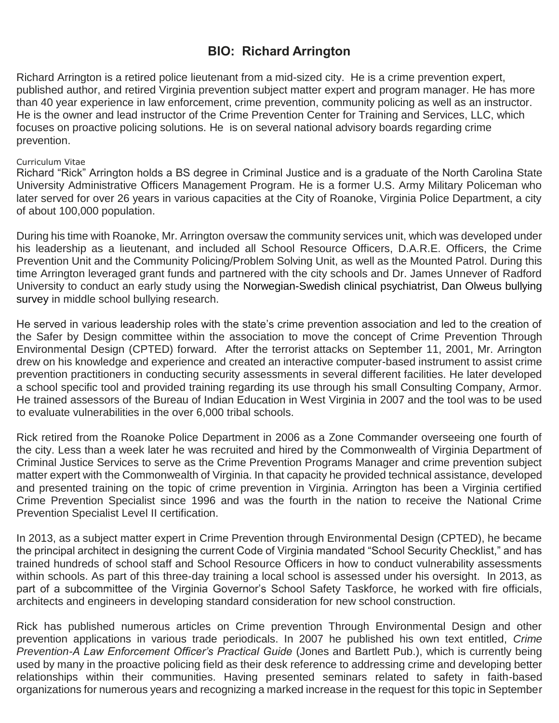## **BIO: Richard Arrington**

Richard Arrington is a retired police lieutenant from a mid-sized city. He is a crime prevention expert, published author, and retired Virginia prevention subject matter expert and program manager. He has more than 40 year experience in law enforcement, crime prevention, community policing as well as an instructor. He is the owner and lead instructor of the Crime Prevention Center for Training and Services, LLC, which focuses on proactive policing solutions. He is on several national advisory boards regarding crime prevention.

## Curriculum Vitae

Richard "Rick" Arrington holds a BS degree in Criminal Justice and is a graduate of the North Carolina State University Administrative Officers Management Program. He is a former U.S. Army Military Policeman who later served for over 26 years in various capacities at the City of Roanoke, Virginia Police Department, a city of about 100,000 population.

During his time with Roanoke, Mr. Arrington oversaw the community services unit, which was developed under his leadership as a lieutenant, and included all School Resource Officers, D.A.R.E. Officers, the Crime Prevention Unit and the Community Policing/Problem Solving Unit, as well as the Mounted Patrol. During this time Arrington leveraged grant funds and partnered with the city schools and Dr. James Unnever of Radford University to conduct an early study using the Norwegian-Swedish clinical psychiatrist, Dan Olweus bullying survey in middle school bullying research.

He served in various leadership roles with the state's crime prevention association and led to the creation of the Safer by Design committee within the association to move the concept of Crime Prevention Through Environmental Design (CPTED) forward. After the terrorist attacks on September 11, 2001, Mr. Arrington drew on his knowledge and experience and created an interactive computer-based instrument to assist crime prevention practitioners in conducting security assessments in several different facilities. He later developed a school specific tool and provided training regarding its use through his small Consulting Company, Armor. He trained assessors of the Bureau of Indian Education in West Virginia in 2007 and the tool was to be used to evaluate vulnerabilities in the over 6,000 tribal schools.

Rick retired from the Roanoke Police Department in 2006 as a Zone Commander overseeing one fourth of the city. Less than a week later he was recruited and hired by the Commonwealth of Virginia Department of Criminal Justice Services to serve as the Crime Prevention Programs Manager and crime prevention subject matter expert with the Commonwealth of Virginia. In that capacity he provided technical assistance, developed and presented training on the topic of crime prevention in Virginia. Arrington has been a Virginia certified Crime Prevention Specialist since 1996 and was the fourth in the nation to receive the National Crime Prevention Specialist Level II certification.

In 2013, as a subject matter expert in Crime Prevention through Environmental Design (CPTED), he became the principal architect in designing the current Code of Virginia mandated "School Security Checklist," and has trained hundreds of school staff and School Resource Officers in how to conduct vulnerability assessments within schools. As part of this three-day training a local school is assessed under his oversight. In 2013, as part of a subcommittee of the Virginia Governor's School Safety Taskforce, he worked with fire officials, architects and engineers in developing standard consideration for new school construction.

Rick has published numerous articles on Crime prevention Through Environmental Design and other prevention applications in various trade periodicals. In 2007 he published his own text entitled, *Crime Prevention-A Law Enforcement Officer's Practical Guide* (Jones and Bartlett Pub.), which is currently being used by many in the proactive policing field as their desk reference to addressing crime and developing better relationships within their communities. Having presented seminars related to safety in faith-based organizations for numerous years and recognizing a marked increase in the request for this topic in September